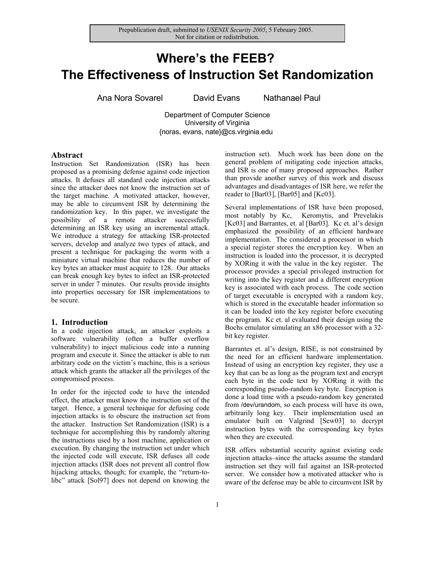# **Where's the FEEB? The Effectiveness of Instruction Set Randomization**

Ana Nora Sovarel David Evans Nathanael Paul

Department of Computer Science University of Virginia {noras, evans, nate}@cs.virginia.edu

# **Abstract**

Instruction Set Randomization (ISR) has been proposed as a promising defense against code injection attacks. It defuses all standard code injection attacks since the attacker does not know the instruction set of the target machine. A motivated attacker, however, may be able to circumvent ISR by determining the randomization key. In this paper, we investigate the possibility of a remote attacker successfully determining an ISR key using an incremental attack. We introduce a strategy for attacking ISR-protected servers, develop and analyze two types of attack, and present a technique for packaging the worm with a miniature virtual machine that reduces the number of key bytes an attacker must acquire to 128. Our attacks can break enough key bytes to infect an ISR-protected server in under 7 minutes. Our results provide insights into properties necessary for ISR implementations to be secure.

# **1. Introduction**

In a code injection attack, an attacker exploits a software vulnerability (often a buffer overflow vulnerability) to inject malicious code into a running program and execute it. Since the attacker is able to run arbitrary code on the victim's machine, this is a serious attack which grants the attacker all the privileges of the compromised process.

In order for the injected code to have the intended effect, the attacker must know the instruction set of the target. Hence, a general technique for defusing code injection attacks is to obscure the instruction set from the attacker. Instruction Set Randomization (ISR) is a technique for accomplishing this by randomly altering the instructions used by a host machine, application or execution. By changing the instruction set under which the injected code will execute, ISR defuses all code injection attacks (ISR does not prevent all control flow hijacking attacks, though; for example, the "return-tolibc" attack [Sol97] does not depend on knowing the instruction set). Much work has been done on the general problem of mitigating code injection attacks, and ISR is one of many proposed approaches. Rather than provide another survey of this work and discuss advantages and disadvantages of ISR here, we refer the reader to [Bar03], [Bar05] and [Kc03].

Several implementations of ISR have been proposed, most notably by Kc, Keromytis, and Prevelakis [Kc03] and Barrantes, et. al [Bar03]. Kc et. al's design emphasized the possibility of an efficient hardware implementation. The considered a processor in which a special register stores the encryption key. When an instruction is loaded into the processor, it is decrypted by XORing it with the value in the key register. The processor provides a special privileged instruction for writing into the key register and a different encryption key is associated with each process. The code section of target executable is encrypted with a random key, which is stored in the executable header information so it can be loaded into the key register before executing the program. Kc et. al evaluated their design using the Bochs emulator simulating an x86 processor with a 32 bit key register.

Barrantes et. al's design, RISE, is not constrained by the need for an efficient hardware implementation. Instead of using an encryption key register, they use a key that can be as long as the program text and encrypt each byte in the code text by XORing it with the corresponding pseudo-random key byte. Encryption is done a load time with a pseudo-random key generated from /dev/urandom, so each process will have its own, arbitrarily long key. Their implementation used an emulator built on Valgrind [Sew03] to decrypt instruction bytes with the corresponding key bytes when they are executed.

ISR offers substantial security against existing code injection attacks–since the attacks assume the standard instruction set they will fail against an ISR-protected server. We consider how a motivated attacker who is aware of the defense may be able to circumvent ISR by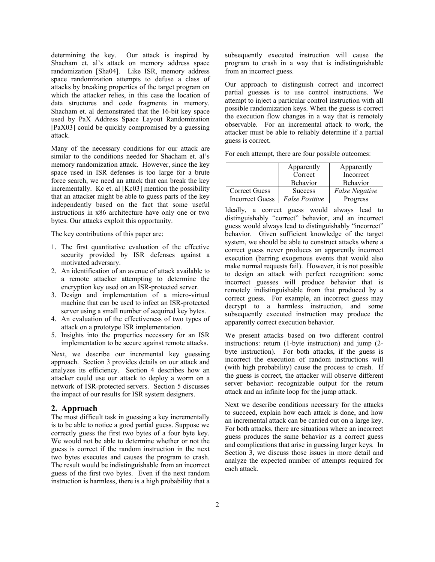determining the key. Our attack is inspired by Shacham et. al's attack on memory address space randomization [Sha04]. Like ISR, memory address space randomization attempts to defuse a class of attacks by breaking properties of the target program on which the attacker relies, in this case the location of data structures and code fragments in memory. Shacham et. al demonstrated that the 16-bit key space used by PaX Address Space Layout Randomization [PaX03] could be quickly compromised by a guessing attack.

Many of the necessary conditions for our attack are similar to the conditions needed for Shacham et. al's memory randomization attack. However, since the key space used in ISR defenses is too large for a brute force search, we need an attack that can break the key incrementally. Kc et. al [Kc03] mention the possibility that an attacker might be able to guess parts of the key independently based on the fact that some useful instructions in x86 architecture have only one or two bytes. Our attacks exploit this opportunity.

The key contributions of this paper are:

- 1. The first quantitative evaluation of the effective security provided by ISR defenses against a motivated adversary.
- 2. An identification of an avenue of attack available to a remote attacker attempting to determine the encryption key used on an ISR-protected server.
- 3. Design and implementation of a micro-virtual machine that can be used to infect an ISR-protected server using a small number of acquired key bytes.
- 4. An evaluation of the effectiveness of two types of attack on a prototype ISR implementation.
- 5. Insights into the properties necessary for an ISR implementation to be secure against remote attacks.

Next, we describe our incremental key guessing approach. Section 3 provides details on our attack and analyzes its efficiency. Section 4 describes how an attacker could use our attack to deploy a worm on a network of ISR-protected servers. Section 5 discusses the impact of our results for ISR system designers.

# **2. Approach**

The most difficult task in guessing a key incrementally is to be able to notice a good partial guess. Suppose we correctly guess the first two bytes of a four byte key. We would not be able to determine whether or not the guess is correct if the random instruction in the next two bytes executes and causes the program to crash. The result would be indistinguishable from an incorrect guess of the first two bytes. Even if the next random instruction is harmless, there is a high probability that a subsequently executed instruction will cause the program to crash in a way that is indistinguishable from an incorrect guess.

Our approach to distinguish correct and incorrect partial guesses is to use control instructions. We attempt to inject a particular control instruction with all possible randomization keys. When the guess is correct the execution flow changes in a way that is remotely observable. For an incremental attack to work, the attacker must be able to reliably determine if a partial guess is correct.

For each attempt, there are four possible outcomes:

|                        | Apparently            | Apparently            |
|------------------------|-----------------------|-----------------------|
|                        | Correct               | Incorrect             |
|                        | <b>Behavior</b>       | <b>Behavior</b>       |
| <b>Correct Guess</b>   | <b>Success</b>        | <b>False Negative</b> |
| <b>Incorrect Guess</b> | <b>False Positive</b> | Progress              |

Ideally, a correct guess would always lead to distinguishably "correct" behavior, and an incorrect guess would always lead to distinguishably "incorrect" behavior. Given sufficient knowledge of the target system, we should be able to construct attacks where a correct guess never produces an apparently incorrect execution (barring exogenous events that would also make normal requests fail). However, it is not possible to design an attack with perfect recognition: some incorrect guesses will produce behavior that is remotely indistinguishable from that produced by a correct guess. For example, an incorrect guess may decrypt to a harmless instruction, and some subsequently executed instruction may produce the apparently correct execution behavior.

We present attacks based on two different control instructions: return (1-byte instruction) and jump (2 byte instruction). For both attacks, if the guess is incorrect the execution of random instructions will (with high probability) cause the process to crash. If the guess is correct, the attacker will observe different server behavior: recognizable output for the return attack and an infinite loop for the jump attack.

Next we describe conditions necessary for the attacks to succeed, explain how each attack is done, and how an incremental attack can be carried out on a large key. For both attacks, there are situations where an incorrect guess produces the same behavior as a correct guess and complications that arise in guessing larger keys. In Section 3, we discuss those issues in more detail and analyze the expected number of attempts required for each attack.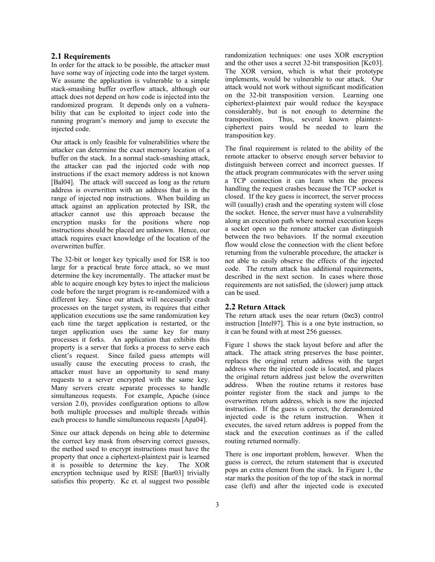# **2.1 Requirements**

In order for the attack to be possible, the attacker must have some way of injecting code into the target system. We assume the application is vulnerable to a simple stack-smashing buffer overflow attack, although our attack does not depend on how code is injected into the randomized program. It depends only on a vulnerability that can be exploited to inject code into the running program's memory and jump to execute the injected code.

Our attack is only feasible for vulnerabilities where the attacker can determine the exact memory location of a buffer on the stack. In a normal stack-smashing attack, the attacker can pad the injected code with nop instructions if the exact memory address is not known [Bal04]. The attack will succeed as long as the return address is overwritten with an address that is in the range of injected nop instructions. When building an attack against an application protected by ISR, the attacker cannot use this approach because the encryption masks for the positions where nop instructions should be placed are unknown. Hence, our attack requires exact knowledge of the location of the overwritten buffer.

The 32-bit or longer key typically used for ISR is too large for a practical brute force attack, so we must determine the key incrementally. The attacker must be able to acquire enough key bytes to inject the malicious code before the target program is re-randomized with a different key. Since our attack will necessarily crash processes on the target system, its requires that either application executions use the same randomization key each time the target application is restarted, or the target application uses the same key for many processes it forks. An application that exhibits this property is a server that forks a process to serve each client's request. Since failed guess attempts will usually cause the executing process to crash, the attacker must have an opportunity to send many requests to a server encrypted with the same key. Many servers create separate processes to handle simultaneous requests. For example, Apache (since version 2.0), provides configuration options to allow both multiple processes and multiple threads within each process to handle simultaneous requests [Apa04].

Since our attack depends on being able to determine the correct key mask from observing correct guesses, the method used to encrypt instructions must have the property that once a ciphertext-plaintext pair is learned<br>it is possible to determine the key. The XOR it is possible to determine the key. encryption technique used by RISE [Bar03] trivially satisfies this property. Kc et. al suggest two possible randomization techniques: one uses XOR encryption and the other uses a secret 32-bit transposition [Kc03]. The XOR version, which is what their prototype implements, would be vulnerable to our attack. Our attack would not work without significant modification on the 32-bit transposition version. Learning one ciphertext-plaintext pair would reduce the keyspace considerably, but is not enough to determine the transposition. Thus, several known plaintextciphertext pairs would be needed to learn the transposition key.

The final requirement is related to the ability of the remote attacker to observe enough server behavior to distinguish between correct and incorrect guesses. If the attack program communicates with the server using a TCP connection it can learn when the process handling the request crashes because the TCP socket is closed. If the key guess is incorrect, the server process will (usually) crash and the operating system will close the socket. Hence, the server must have a vulnerability along an execution path where normal execution keeps a socket open so the remote attacker can distinguish between the two behaviors. If the normal execution flow would close the connection with the client before returning from the vulnerable procedure, the attacker is not able to easily observe the effects of the injected code. The return attack has additional requirements, described in the next section. In cases where those requirements are not satisfied, the (slower) jump attack can be used.

## **2.2 Return Attack**

The return attack uses the near return (0xc3) control instruction [Intel97]. This is a one byte instruction, so it can be found with at most 256 guesses.

Figure 1 shows the stack layout before and after the attack. The attack string preserves the base pointer, replaces the original return address with the target address where the injected code is located, and places the original return address just below the overwritten address. When the routine returns it restores base pointer register from the stack and jumps to the overwritten return address, which is now the injected instruction. If the guess is correct, the derandomized injected code is the return instruction. When it executes, the saved return address is popped from the stack and the execution continues as if the called routing returned normally.

There is one important problem, however. When the guess is correct, the return statement that is executed pops an extra element from the stack. In Figure 1, the star marks the position of the top of the stack in normal case (left) and after the injected code is executed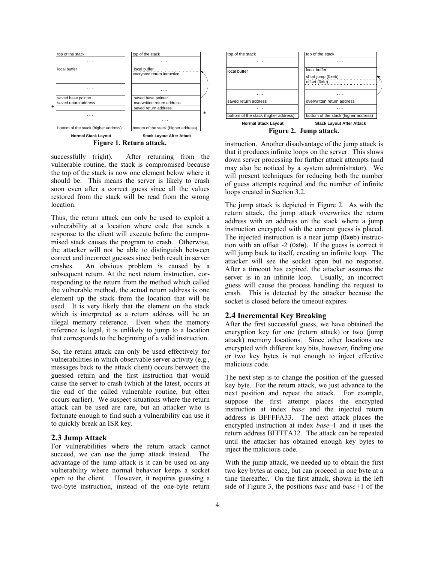

successfully (right). After returning from the vulnerable routine, the stack is compromised because the top of the stack is now one element below where it should be. This means the server is likely to crash soon even after a correct guess since all the values restored from the stack will be read from the wrong location.

Thus, the return attack can only be used to exploit a vulnerability at a location where code that sends a response to the client will execute before the compromised stack causes the program to crash. Otherwise, the attacker will not be able to distinguish between correct and incorrect guesses since both result in server crashes. An obvious problem is caused by a subsequent return. At the next return instruction, corresponding to the return from the method which called the vulnerable method, the actual return address is one element up the stack from the location that will be used. It is very likely that the element on the stack which is interpreted as a return address will be an illegal memory reference. Even when the memory reference is legal, it is unlikely to jump to a location that corresponds to the beginning of a valid instruction.

So, the return attack can only be used effectively for vulnerabilities in which observable server activity (e.g., messages back to the attack client) occurs between the guessed return and the first instruction that would cause the server to crash (which at the latest, occurs at the end of the called vulnerable routine, but often occurs earlier). We suspect situations where the return attack can be used are rare, but an attacker who is fortunate enough to find such a vulnerability can use it to quickly break an ISR key.

## **2.3 Jump Attack**

For vulnerabilities where the return attack cannot succeed, we can use the jump attack instead. The advantage of the jump attack is it can be used on any vulnerability where normal behavior keeps a socket open to the client. However, it requires guessing a two-byte instruction, instead of the one-byte return



instruction. Another disadvantage of the jump attack is that it produces infinite loops on the server. This slows down server processing for further attack attempts (and may also be noticed by a system administrator). We will present techniques for reducing both the number of guess attempts required and the number of infinite loops created in Section 3.2.

The jump attack is depicted in Figure 2. As with the return attack, the jump attack overwrites the return address with an address on the stack where a jump instruction encrypted with the current guess is placed. The injected instruction is a near jump (0xeb) instruction with an offset -2 (0xfe). If the guess is correct it will jump back to itself, creating an infinite loop. The attacker will see the socket open but no response. After a timeout has expired, the attacker assumes the server is in an infinite loop. Usually, an incorrect guess will cause the process handling the request to crash. This is detected by the attacker because the socket is closed before the timeout expires.

# **2.4 Incremental Key Breaking**

After the first successful guess, we have obtained the encryption key for one (return attack) or two (jump attack) memory locations. Since other locations are encrypted with different key bits, however, finding one or two key bytes is not enough to inject effective malicious code.

The next step is to change the position of the guessed key byte. For the return attack, we just advance to the next position and repeat the attack. For example, suppose the first attempt places the encrypted instruction at index *base* and the injected return address is BFFFFA33. The next attack places the encrypted instruction at index *base–*1 and it uses the return address BFFFFA32. The attack can be repeated until the attacker has obtained enough key bytes to inject the malicious code.

With the jump attack, we needed up to obtain the first two key bytes at once, but can proceed in one byte at a time thereafter. On the first attack, shown in the left side of Figure 3, the positions *base* and *base+*1 of the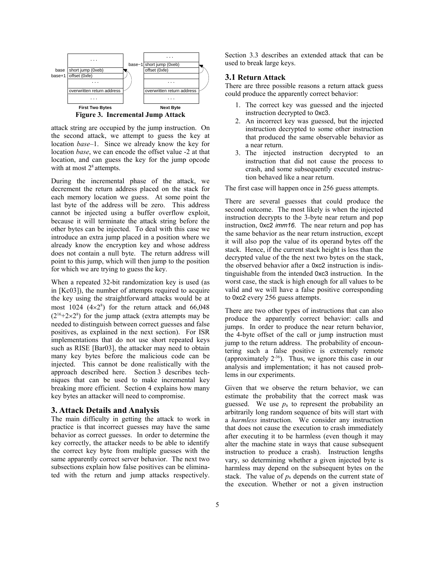

attack string are occupied by the jump instruction. On the second attack, we attempt to guess the key at location *base*–1. Since we already know the key for location *base*, we can encode the offset value -2 at that location, and can guess the key for the jump opcode with at most  $2<sup>8</sup>$  attempts.

During the incremental phase of the attack, we decrement the return address placed on the stack for each memory location we guess. At some point the last byte of the address will be zero. This address cannot be injected using a buffer overflow exploit, because it will terminate the attack string before the other bytes can be injected. To deal with this case we introduce an extra jump placed in a position where we already know the encryption key and whose address does not contain a null byte. The return address will point to this jump, which will then jump to the position for which we are trying to guess the key.

When a repeated 32-bit randomization key is used (as in [Kc03]), the number of attempts required to acquire the key using the straightforward attacks would be at most 1024  $(4\times2^8)$  for the return attack and 66,048  $(2^{16}+2\times2^8)$  for the jump attack (extra attempts may be needed to distinguish between correct guesses and false positives, as explained in the next section). For ISR implementations that do not use short repeated keys such as RISE [Bar03], the attacker may need to obtain many key bytes before the malicious code can be injected. This cannot be done realistically with the approach described here. Section 3 describes techniques that can be used to make incremental key breaking more efficient. Section 4 explains how many key bytes an attacker will need to compromise.

# **3. Attack Details and Analysis**

The main difficulty in getting the attack to work in practice is that incorrect guesses may have the same behavior as correct guesses. In order to determine the key correctly, the attacker needs to be able to identify the correct key byte from multiple guesses with the same apparently correct server behavior. The next two subsections explain how false positives can be eliminated with the return and jump attacks respectively.

Section 3.3 describes an extended attack that can be used to break large keys.

# **3.1 Return Attack**

There are three possible reasons a return attack guess could produce the apparently correct behavior:

- 1. The correct key was guessed and the injected instruction decrypted to 0xc3.
- 2. An incorrect key was guessed, but the injected instruction decrypted to some other instruction that produced the same observable behavior as a near return.
- 3. The injected instruction decrypted to an instruction that did not cause the process to crash, and some subsequently executed instruction behaved like a near return.

The first case will happen once in 256 guess attempts.

There are several guesses that could produce the second outcome. The most likely is when the injected instruction decrypts to the 3-byte near return and pop instruction, 0xc2 *imm16*. The near return and pop has the same behavior as the near return instruction, except it will also pop the value of its operand bytes off the stack. Hence, if the current stack height is less than the decrypted value of the the next two bytes on the stack, the observed behavior after a 0xc2 instruction is indistinguishable from the intended 0xc3 instruction. In the worst case, the stack is high enough for all values to be valid and we will have a false positive corresponding to 0xc2 every 256 guess attempts.

There are two other types of instructions that can also produce the apparently correct behavior: calls and jumps. In order to produce the near return behavior, the 4-byte offset of the call or jump instruction must jump to the return address. The probability of encountering such a false positive is extremely remote (approximately  $2^{36}$ ). Thus, we ignore this case in our analysis and implementation; it has not caused problems in our experiments.

Given that we observe the return behavior, we can estimate the probability that the correct mask was guessed. We use  $p_h$  to represent the probability an arbitrarily long random sequence of bits will start with a *harmless* instruction. We consider any instruction that does not cause the execution to crash immediately after executing it to be harmless (even though it may alter the machine state in ways that cause subsequent instruction to produce a crash). Instruction lengths vary, so determining whether a given injected byte is harmless may depend on the subsequent bytes on the stack. The value of  $p_h$  depends on the current state of the execution. Whether or not a given instruction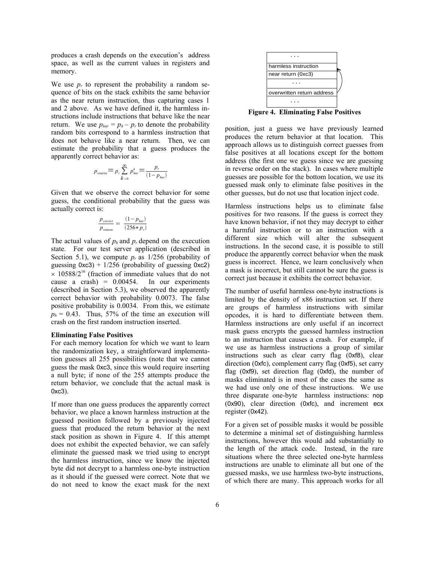produces a crash depends on the execution's address space, as well as the current values in registers and memory.

We use  $p_r$  to represent the probability a random sequence of bits on the stack exhibits the same behavior as the near return instruction, thus capturing cases 1 and 2 above. As we have defined it, the harmless instructions include instructions that behave like the near return. We use  $p_{hm} = p_h - p_r$  to denote the probability random bits correspond to a harmless instruction that does not behave like a near return. Then, we can estimate the probability that a guess produces the apparently correct behavior as:

$$
p_{\text{returns}} = p_r \sum_{k=0}^{\infty} p_{\text{har}}^k = \frac{p_r}{(1 - p_{\text{har}})^2}
$$

Given that we observe the correct behavior for some guess, the conditional probability that the guess was actually correct is:

$$
\frac{p_{\text{correct}}}{p_{\text{returns}}} = \frac{(1 - p_{\text{hnr}})}{(256 * p_{\text{r}})}
$$

The actual values of  $p_h$  and  $p_r$  depend on the execution state. For our test server application (described in Section 5.1), we compute  $p_r$  as  $1/256$  (probability of guessing  $0xc3$ ) + 1/256 (probability of guessing  $0xc2$ )  $\times$  10588/2<sup>16</sup> (fraction of immediate values that do not cause a crash) =  $0.00454$ . In our experiments (described in Section 5.3), we observed the apparently correct behavior with probability 0.0073. The false positive probability is 0.0034. From this, we estimate  $p_h = 0.43$ . Thus, 57% of the time an execution will crash on the first random instruction inserted.

### **Eliminating False Positives**

For each memory location for which we want to learn the randomization key, a straightforward implementation guesses all 255 possibilities (note that we cannot guess the mask 0xc3, since this would require inserting a null byte; if none of the 255 attempts produce the return behavior, we conclude that the actual mask is 0xc3).

If more than one guess produces the apparently correct behavior, we place a known harmless instruction at the guessed position followed by a previously injected guess that produced the return behavior at the next stack position as shown in Figure 4. If this attempt does not exhibit the expected behavior, we can safely eliminate the guessed mask we tried using to encrypt the harmless instruction, since we know the injected byte did not decrypt to a harmless one-byte instruction as it should if the guessed were correct. Note that we do not need to know the exact mask for the next



**Figure 4. Eliminating False Positives**

position, just a guess we have previously learned produces the return behavior at that location. This approach allows us to distinguish correct guesses from false positives at all locations except for the bottom address (the first one we guess since we are guessing in reverse order on the stack). In cases where multiple guesses are possible for the bottom location, we use its guessed mask only to eliminate false positives in the other guesses, but do not use that location inject code.

Harmless instructions helps us to eliminate false positives for two reasons. If the guess is correct they have known behavior, if not they may decrypt to either a harmful instruction or to an instruction with a different size which will alter the subsequent instructions. In the second case, it is possible to still produce the apparently correct behavior when the mask guess is incorrect. Hence, we learn conclusively when a mask is incorrect, but still cannot be sure the guess is correct just because it exhibits the correct behavior.

The number of useful harmless one-byte instructions is limited by the density of x86 instruction set. If there are groups of harmless instructions with similar opcodes, it is hard to differentiate between them. Harmless instructions are only useful if an incorrect mask guess encrypts the guessed harmless instruction to an instruction that causes a crash. For example, if we use as harmless instructions a group of similar instructions such as clear carry flag (0xf8), clear direction (0xfc), complement carry flag (0xf5), set carry flag (0xf9), set direction flag (0xfd), the number of masks eliminated is in most of the cases the same as we had use only one of these instructions. We use three disparate one-byte harmless instructions: nop (0x90), clear direction (0xfc), and increment ecx register (0x42).

For a given set of possible masks it would be possible to determine a minimal set of distinguishing harmless instructions, however this would add substantially to the length of the attack code. Instead, in the rare situations where the three selected one-byte harmless instructions are unable to eliminate all but one of the guessed masks, we use harmless two-byte instructions, of which there are many. This approach works for all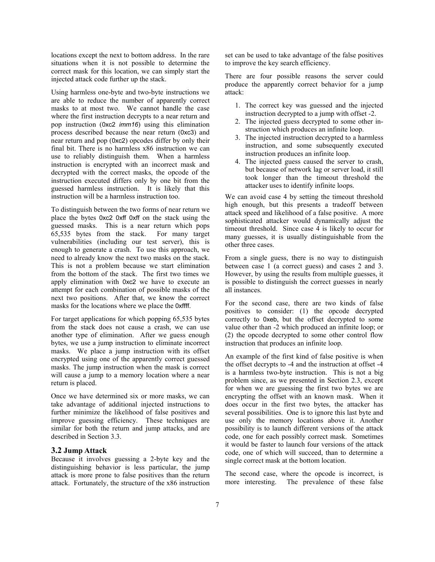locations except the next to bottom address. In the rare situations when it is not possible to determine the correct mask for this location, we can simply start the injected attack code further up the stack.

Using harmless one-byte and two-byte instructions we are able to reduce the number of apparently correct masks to at most two. We cannot handle the case where the first instruction decrypts to a near return and pop instruction (0xc2 *imm16*) using this elimination process described because the near return (0xc3) and near return and pop (0xc2) opcodes differ by only their final bit. There is no harmless x86 instruction we can use to reliably distinguish them. When a harmless instruction is encrypted with an incorrect mask and decrypted with the correct masks, the opcode of the instruction executed differs only by one bit from the guessed harmless instruction. It is likely that this instruction will be a harmless instruction too.

To distinguish between the two forms of near return we place the bytes 0xc2 0xff 0xff on the stack using the guessed masks. This is a near return which pops 65,535 bytes from the stack. For many target vulnerabilities (including our test server), this is enough to generate a crash. To use this approach, we need to already know the next two masks on the stack. This is not a problem because we start elimination from the bottom of the stack. The first two times we apply elimination with 0xc2 we have to execute an attempt for each combination of possible masks of the next two positions. After that, we know the correct masks for the locations where we place the 0xffff.

For target applications for which popping 65,535 bytes from the stack does not cause a crash, we can use another type of elimination. After we guess enough bytes, we use a jump instruction to eliminate incorrect masks. We place a jump instruction with its offset encrypted using one of the apparently correct guessed masks. The jump instruction when the mask is correct will cause a jump to a memory location where a near return is placed.

Once we have determined six or more masks, we can take advantage of additional injected instructions to further minimize the likelihood of false positives and improve guessing efficiency. These techniques are similar for both the return and jump attacks, and are described in Section 3.3.

## **3.2 Jump Attack**

Because it involves guessing a 2-byte key and the distinguishing behavior is less particular, the jump attack is more prone to false positives than the return attack. Fortunately, the structure of the x86 instruction set can be used to take advantage of the false positives to improve the key search efficiency.

There are four possible reasons the server could produce the apparently correct behavior for a jump attack:

- 1. The correct key was guessed and the injected instruction decrypted to a jump with offset -2.
- 2. The injected guess decrypted to some other instruction which produces an infinite loop.
- 3. The injected instruction decrypted to a harmless instruction, and some subsequently executed instruction produces an infinite loop.
- 4. The injected guess caused the server to crash, but because of network lag or server load, it still took longer than the timeout threshold the attacker uses to identify infinite loops.

We can avoid case 4 by setting the timeout threshold high enough, but this presents a tradeoff between attack speed and likelihood of a false positive. A more sophisticated attacker would dynamically adjust the timeout threshold. Since case 4 is likely to occur for many guesses, it is usually distinguishable from the other three cases.

From a single guess, there is no way to distinguish between case 1 (a correct guess) and cases 2 and 3. However, by using the results from multiple guesses, it is possible to distinguish the correct guesses in nearly all instances.

For the second case, there are two kinds of false positives to consider: (1) the opcode decrypted correctly to 0xeb, but the offset decrypted to some value other than -2 which produced an infinite loop; or (2) the opcode decrypted to some other control flow instruction that produces an infinite loop.

An example of the first kind of false positive is when the offset decrypts to -4 and the instruction at offset -4 is a harmless two-byte instruction. This is not a big problem since, as we presented in Section 2.3, except for when we are guessing the first two bytes we are encrypting the offset with an known mask. When it does occur in the first two bytes, the attacker has several possibilities. One is to ignore this last byte and use only the memory locations above it. Another possibility is to launch different versions of the attack code, one for each possibly correct mask. Sometimes it would be faster to launch four versions of the attack code, one of which will succeed, than to determine a single correct mask at the bottom location.

The second case, where the opcode is incorrect, is more interesting. The prevalence of these false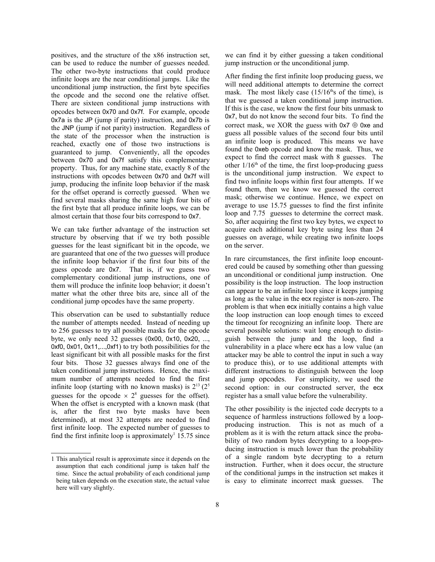positives, and the structure of the x86 instruction set, can be used to reduce the number of guesses needed. The other two-byte instructions that could produce infinite loops are the near conditional jumps. Like the unconditional jump instruction, the first byte specifies the opcode and the second one the relative offset. There are sixteen conditional jump instructions with opcodes between 0x70 and 0x7f. For example, opcode 0x7a is the JP (jump if parity) instruction, and 0x7b is the JNP (jump if not parity) instruction. Regardless of the state of the processor when the instruction is reached, exactly one of those two instructions is guaranteed to jump. Conveniently, all the opcodes between 0x70 and 0x7f satisfy this complementary property. Thus, for any machine state, exactly 8 of the instructions with opcodes between 0x70 and 0x7f will jump, producing the infinite loop behavior if the mask for the offset operand is correctly guessed. When we find several masks sharing the same high four bits of the first byte that all produce infinite loops, we can be almost certain that those four bits correspond to 0x7.

We can take further advantage of the instruction set structure by observing that if we try both possible guesses for the least significant bit in the opcode, we are guaranteed that one of the two guesses will produce the infinite loop behavior if the first four bits of the guess opcode are 0x7. That is, if we guess two complementary conditional jump instructions, one of them will produce the infinite loop behavior; it doesn't matter what the other three bits are, since all of the conditional jump opcodes have the same property.

This observation can be used to substantially reduce the number of attempts needed. Instead of needing up to 256 guesses to try all possible masks for the opcode byte, we only need 32 guesses (0x00, 0x10, 0x20, ..., 0xf0, 0x01, 0x11,...,0xf1) to try both possibilities for the least significant bit with all possible masks for the first four bits. Those 32 guesses always find one of the taken conditional jump instructions. Hence, the maximum number of attempts needed to find the first infinite loop (starting with no known masks) is  $2^{13}$  ( $2^5$ guesses for the opcode  $\times$  2<sup>8</sup> guesses for the offset). When the offset is encrypted with a known mask (that is, after the first two byte masks have been determined), at most 32 attempts are needed to find first infinite loop. The expected number of guesses to find the first infinite loop is approximately<sup>1</sup> 15.75 since

we can find it by either guessing a taken conditional jump instruction or the unconditional jump.

After finding the first infinite loop producing guess, we will need additional attempts to determine the correct mask. The most likely case  $(15/16<sup>th</sup>s)$  of the time), is that we guessed a taken conditional jump instruction. If this is the case, we know the first four bits unmask to 0x7, but do not know the second four bits. To find the correct mask, we XOR the guess with  $0x7 \oplus 0xe$  and guess all possible values of the second four bits until an infinite loop is produced. This means we have found the 0xeb opcode and know the mask. Thus, we expect to find the correct mask with 8 guesses. The other  $1/16<sup>th</sup>$  of the time, the first loop-producing guess is the unconditional jump instruction. We expect to find two infinite loops within first four attempts. If we found them, then we know we guessed the correct mask; otherwise we continue. Hence, we expect on average to use 15.75 guesses to find the first infinite loop and 7.75 guesses to determine the correct mask. So, after acquiring the first two key bytes, we expect to acquire each additional key byte using less than 24 guesses on average, while creating two infinite loops on the server.

In rare circumstances, the first infinite loop encountered could be caused by something other than guessing an unconditional or conditional jump instruction. One possibility is the loop instruction. The loop instruction can appear to be an infinite loop since it keeps jumping as long as the value in the ecx register is non-zero. The problem is that when ecx initially contains a high value the loop instruction can loop enough times to exceed the timeout for recognizing an infinite loop. There are several possible solutions: wait long enough to distinguish between the jump and the loop, find a vulnerability in a place where ecx has a low value (an attacker may be able to control the input in such a way to produce this), or to use additional attempts with different instructions to distinguish between the loop and jump opcodes. For simplicity, we used the second option: in our constructed server, the ecx register has a small value before the vulnerability.

The other possibility is the injected code decrypts to a sequence of harmless instructions followed by a loopproducing instruction. This is not as much of a problem as it is with the return attack since the probability of two random bytes decrypting to a loop-producing instruction is much lower than the probability of a single random byte decrypting to a return instruction. Further, when it does occur, the structure of the conditional jumps in the instruction set makes it is easy to eliminate incorrect mask guesses. The

<sup>1</sup> This analytical result is approximate since it depends on the assumption that each conditional jump is taken half the time. Since the actual probability of each conditional jump being taken depends on the execution state, the actual value here will vary slightly.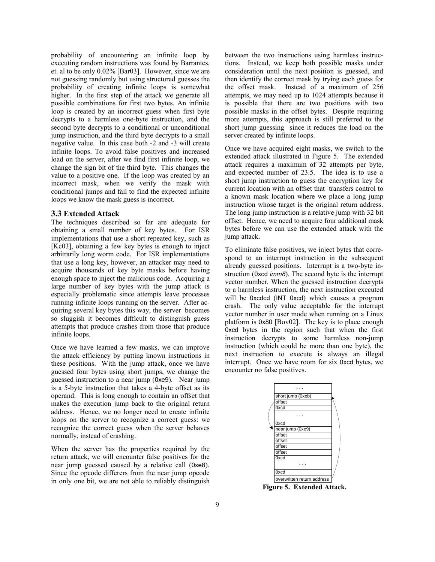probability of encountering an infinite loop by executing random instructions was found by Barrantes, et. al to be only 0.02% [Bar03]. However, since we are not guessing randomly but using structured guesses the probability of creating infinite loops is somewhat higher. In the first step of the attack we generate all possible combinations for first two bytes. An infinite loop is created by an incorrect guess when first byte decrypts to a harmless one-byte instruction, and the second byte decrypts to a conditional or unconditional jump instruction, and the third byte decrypts to a small negative value. In this case both -2 and -3 will create infinite loops. To avoid false positives and increased load on the server, after we find first infinite loop, we change the sign bit of the third byte. This changes the value to a positive one. If the loop was created by an incorrect mask, when we verify the mask with conditional jumps and fail to find the expected infinite loops we know the mask guess is incorrect.

## **3.3 Extended Attack**

The techniques described so far are adequate for obtaining a small number of key bytes. For ISR implementations that use a short repeated key, such as [Kc03], obtaining a few key bytes is enough to inject arbitrarily long worm code. For ISR implementations that use a long key, however, an attacker may need to acquire thousands of key byte masks before having enough space to inject the malicious code. Acquiring a large number of key bytes with the jump attack is especially problematic since attempts leave processes running infinite loops running on the server. After acquiring several key bytes this way, the server becomes so sluggish it becomes difficult to distinguish guess attempts that produce crashes from those that produce infinite loops.

Once we have learned a few masks, we can improve the attack efficiency by putting known instructions in these positions. With the jump attack, once we have guessed four bytes using short jumps, we change the guessed instruction to a near jump (0xe9). Near jump is a 5-byte instruction that takes a 4-byte offset as its operand. This is long enough to contain an offset that makes the execution jump back to the original return address. Hence, we no longer need to create infinite loops on the server to recognize a correct guess: we recognize the correct guess when the server behaves normally, instead of crashing.

When the server has the properties required by the return attack, we will encounter false positives for the near jump guessed caused by a relative call (0xe8). Since the opcode differers from the near jump opcode in only one bit, we are not able to reliably distinguish between the two instructions using harmless instructions. Instead, we keep both possible masks under consideration until the next position is guessed, and then identify the correct mask by trying each guess for the offset mask. Instead of a maximum of 256 attempts, we may need up to 1024 attempts because it is possible that there are two positions with two possible masks in the offset bytes. Despite requiring more attempts, this approach is still preferred to the short jump guessing since it reduces the load on the server created by infinite loops.

Once we have acquired eight masks, we switch to the extended attack illustrated in Figure 5. The extended attack requires a maximum of 32 attempts per byte, and expected number of 23.5. The idea is to use a short jump instruction to guess the encryption key for current location with an offset that transfers control to a known mask location where we place a long jump instruction whose target is the original return address. The long jump instruction is a relative jump with 32 bit offset. Hence, we need to acquire four additional mask bytes before we can use the extended attack with the jump attack.

To eliminate false positives, we inject bytes that correspond to an interrupt instruction in the subsequent already guessed positions. Interrupt is a two-byte instruction (0xcd *imm8*). The second byte is the interrupt vector number. When the guessed instruction decrypts to a harmless instruction, the next instruction executed will be 0xcdcd (INT 0xcd) which causes a program crash. The only value acceptable for the interrupt vector number in user mode when running on a Linux platform is 0x80 [Bov02]. The key is to place enough 0xcd bytes in the region such that when the first instruction decrypts to some harmless non-jump instruction (which could be more than one byte), the next instruction to execute is always an illegal interrupt. Once we have room for six 0xcd bytes, we encounter no false positives.



**Figure 5. Extended Attack.**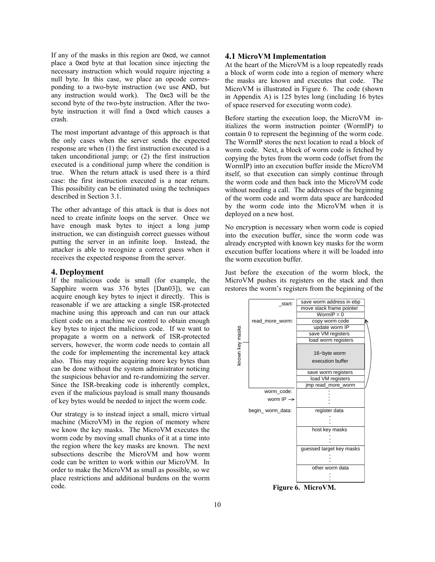If any of the masks in this region are 0xcd, we cannot place a 0xcd byte at that location since injecting the necessary instruction which would require injecting a null byte. In this case, we place an opcode corresponding to a two-byte instruction (we use AND, but any instruction would work). The 0xc3 will be the second byte of the two-byte instruction. After the twobyte instruction it will find a 0xcd which causes a crash.

The most important advantage of this approach is that the only cases when the server sends the expected response are when (1) the first instruction executed is a taken unconditional jump; or (2) the first instruction executed is a conditional jump where the condition is true. When the return attack is used there is a third case: the first instruction executed is a near return. This possibility can be eliminated using the techniques described in Section 3.1.

The other advantage of this attack is that is does not need to create infinite loops on the server. Once we have enough mask bytes to inject a long jump instruction, we can distinguish correct guesses without putting the server in an infinite loop. Instead, the attacker is able to recognize a correct guess when it receives the expected response from the server.

## **4. Deployment**

If the malicious code is small (for example, the Sapphire worm was 376 bytes [Dan03]), we can acquire enough key bytes to inject it directly. This is reasonable if we are attacking a single ISR-protected machine using this approach and can run our attack client code on a machine we control to obtain enough key bytes to inject the malicious code. If we want to propagate a worm on a network of ISR-protected servers, however, the worm code needs to contain all the code for implementing the incremental key attack also. This may require acquiring more key bytes than can be done without the system administrator noticing the suspicious behavior and re-randomizing the server. Since the ISR-breaking code is inherently complex, even if the malicious payload is small many thousands of key bytes would be needed to inject the worm code.

Our strategy is to instead inject a small, micro virtual machine (MicroVM) in the region of memory where we know the key masks. The MicroVM executes the worm code by moving small chunks of it at a time into the region where the key masks are known. The next subsections describe the MicroVM and how worm code can be written to work within our MicroVM. In order to make the MicroVM as small as possible, so we place restrictions and additional burdens on the worm code.

## **4.1 MicroVM Implementation**

At the heart of the MicroVM is a loop repeatedly reads a block of worm code into a region of memory where the masks are known and executes that code. The MicroVM is illustrated in Figure 6. The code (shown in Appendix A) is 125 bytes long (including 16 bytes of space reserved for executing worm code).

Before starting the execution loop, the MicroVM initializes the worm instruction pointer (WormIP) to contain 0 to represent the beginning of the worm code. The WormIP stores the next location to read a block of worm code. Next, a block of worm code is fetched by copying the bytes from the worm code (offset from the WormIP) into an execution buffer inside the MicroVM itself, so that execution can simply continue through the worm code and then back into the MicroVM code without needing a call. The addresses of the beginning of the worm code and worm data space are hardcoded by the worm code into the MicroVM when it is deployed on a new host.

No encryption is necessary when worm code is copied into the execution buffer, since the worm code was already encrypted with known key masks for the worm execution buffer locations where it will be loaded into the worm execution buffer.

Just before the execution of the worm block, the MicroVM pushes its registers on the stack and then restores the worm's registers from the beginning of the

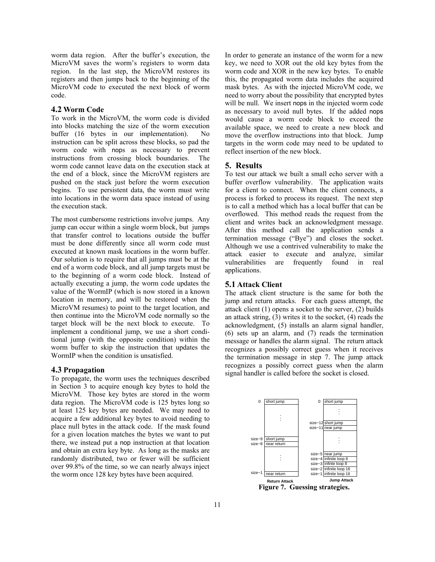worm data region. After the buffer's execution, the MicroVM saves the worm's registers to worm data region. In the last step, the MicroVM restores its registers and then jumps back to the beginning of the MicroVM code to executed the next block of worm code.

# **4.2 Worm Code**

To work in the MicroVM, the worm code is divided into blocks matching the size of the worm execution buffer (16 bytes in our implementation). No instruction can be split across these blocks, so pad the worm code with nops as necessary to prevent instructions from crossing block boundaries. The worm code cannot leave data on the execution stack at the end of a block, since the MicroVM registers are pushed on the stack just before the worm execution begins. To use persistent data, the worm must write into locations in the worm data space instead of using the execution stack.

The most cumbersome restrictions involve jumps. Any jump can occur within a single worm block, but jumps that transfer control to locations outside the buffer must be done differently since all worm code must executed at known mask locations in the worm buffer. Our solution is to require that all jumps must be at the end of a worm code block, and all jump targets must be to the beginning of a worm code block. Instead of actually executing a jump, the worm code updates the value of the WormIP (which is now stored in a known location in memory, and will be restored when the MicroVM resumes) to point to the target location, and then continue into the MicroVM code normally so the target block will be the next block to execute. To implement a conditional jump, we use a short conditional jump (with the opposite condition) within the worm buffer to skip the instruction that updates the WormIP when the condition is unsatisfied.

# **4.3 Propagation**

To propagate, the worm uses the techniques described in Section 3 to acquire enough key bytes to hold the MicroVM. Those key bytes are stored in the worm data region. The MicroVM code is 125 bytes long so at least 125 key bytes are needed. We may need to acquire a few additional key bytes to avoid needing to place null bytes in the attack code. If the mask found for a given location matches the bytes we want to put there, we instead put a nop instruction at that location and obtain an extra key byte. As long as the masks are randomly distributed, two or fewer will be sufficient over 99.8% of the time, so we can nearly always inject the worm once 128 key bytes have been acquired.

In order to generate an instance of the worm for a new key, we need to XOR out the old key bytes from the worm code and XOR in the new key bytes. To enable this, the propagated worm data includes the acquired mask bytes. As with the injected MicroVM code, we need to worry about the possibility that encrypted bytes will be null. We insert nops in the injected worm code as necessary to avoid null bytes. If the added nops would cause a worm code block to exceed the available space, we need to create a new block and move the overflow instructions into that block. Jump targets in the worm code may need to be updated to reflect insertion of the new block.

## **5. Results**

To test our attack we built a small echo server with a buffer overflow vulnerability. The application waits for a client to connect. When the client connects, a process is forked to process its request. The next step is to call a method which has a local buffer that can be overflowed. This method reads the request from the client and writes back an acknowledgment message. After this method call the application sends a termination message ("Bye") and closes the socket. Although we use a contrived vulnerability to make the attack easier to execute and analyze, similar vulnerabilities are frequently found in real applications.

# **5.1 Attack Client**

The attack client structure is the same for both the jump and return attacks. For each guess attempt, the attack client (1) opens a socket to the server, (2) builds an attack string, (3) writes it to the socket, (4) reads the acknowledgment, (5) installs an alarm signal handler, (6) sets up an alarm, and (7) reads the termination message or handles the alarm signal. The return attack recognizes a possibly correct guess when it receives the termination message in step 7. The jump attack recognizes a possibly correct guess when the alarm signal handler is called before the socket is closed.

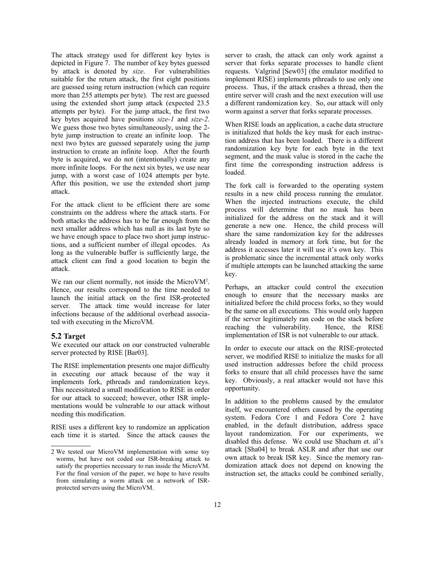The attack strategy used for different key bytes is depicted in Figure 7. The number of key bytes guessed by attack is denoted by *size*. For vulnerabilities suitable for the return attack, the first eight positions are guessed using return instruction (which can require more than 255 attempts per byte). The rest are guessed using the extended short jump attack (expected 23.5 attempts per byte). For the jump attack, the first two key bytes acquired have positions *size-1* and *size-2*. We guess those two bytes simultaneously, using the 2 byte jump instruction to create an infinite loop. The next two bytes are guessed separately using the jump instruction to create an infinite loop. After the fourth byte is acquired, we do not (intentionally) create any more infinite loops. For the next six bytes, we use near jump, with a worst case of 1024 attempts per byte. After this position, we use the extended short jump attack.

For the attack client to be efficient there are some constraints on the address where the attack starts. For both attacks the address has to be far enough from the next smaller address which has null as its last byte so we have enough space to place two short jump instructions, and a sufficient number of illegal opcodes. As long as the vulnerable buffer is sufficiently large, the attack client can find a good location to begin the attack.

We ran our client normally, not inside the MicroVM<sup>2</sup>. Hence, our results correspond to the time needed to launch the initial attack on the first ISR-protected server. The attack time would increase for later infections because of the additional overhead associated with executing in the MicroVM.

## **5.2 Target**

We executed our attack on our constructed vulnerable server protected by RISE [Bar03].

The RISE implementation presents one major difficulty in executing our attack because of the way it implements fork, pthreads and randomization keys. This necessitated a small modification to RISE in order for our attack to succeed; however, other ISR implementations would be vulnerable to our attack without needing this modification.

RISE uses a different key to randomize an application each time it is started. Since the attack causes the server to crash, the attack can only work against a server that forks separate processes to handle client requests. Valgrind [Sew03] (the emulator modified to implement RISE) implements pthreads to use only one process. Thus, if the attack crashes a thread, then the entire server will crash and the next execution will use a different randomization key. So, our attack will only worm against a server that forks separate processes.

When RISE loads an application, a cache data structure is initialized that holds the key mask for each instruction address that has been loaded. There is a different randomization key byte for each byte in the text segment, and the mask value is stored in the cache the first time the corresponding instruction address is loaded.

The fork call is forwarded to the operating system results in a new child process running the emulator. When the injected instructions execute, the child process will determine that no mask has been initialized for the address on the stack and it will generate a new one. Hence, the child process will share the same randomization key for the addresses already loaded in memory at fork time, but for the address it accesses later it will use it's own key. This is problematic since the incremental attack only works if multiple attempts can be launched attacking the same key.

Perhaps, an attacker could control the execution enough to ensure that the necessary masks are initialized before the child process forks, so they would be the same on all executions. This would only happen if the server legitimately ran code on the stack before reaching the vulnerability. Hence, the RISE implementation of ISR is not vulnerable to our attack.

In order to execute our attack on the RISE-protected server, we modified RISE to initialize the masks for all used instruction addresses before the child process forks to ensure that all child processes have the same key. Obviously, a real attacker would not have this opportunity.

In addition to the problems caused by the emulator itself, we encountered others caused by the operating system. Fedora Core 1 and Fedora Core 2 have enabled, in the default distribution, address space layout randomization. For our experiments, we disabled this defense. We could use Shacham et. al's attack [Sha04] to break ASLR and after that use our own attack to break ISR key. Since the memory randomization attack does not depend on knowing the instruction set, the attacks could be combined serially,

<sup>2</sup> We tested our MicroVM implementation with some toy worms, but have not coded our ISR-breaking attack to satisfy the properties necessary to run inside the MicroVM. For the final version of the paper, we hope to have results from simulating a worm attack on a network of ISRprotected servers using the MicroVM.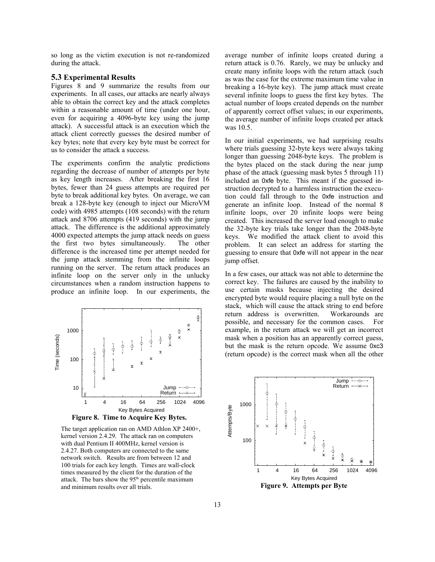so long as the victim execution is not re-randomized during the attack.

## **5.3 Experimental Results**

Figures 8 and 9 summarize the results from our experiments. In all cases, our attacks are nearly always able to obtain the correct key and the attack completes within a reasonable amount of time (under one hour, even for acquiring a 4096-byte key using the jump attack). A successful attack is an execution which the attack client correctly guesses the desired number of key bytes; note that every key byte must be correct for us to consider the attack a success.

The experiments confirm the analytic predictions regarding the decrease of number of attempts per byte as key length increases. After breaking the first 16 bytes, fewer than 24 guess attempts are required per byte to break additional key bytes. On average, we can break a 128-byte key (enough to inject our MicroVM code) with 4985 attempts (108 seconds) with the return attack and 8706 attempts (419 seconds) with the jump attack. The difference is the additional approximately 4000 expected attempts the jump attack needs on guess the first two bytes simultaneously. The other difference is the increased time per attempt needed for the jump attack stemming from the infinite loops running on the server. The return attack produces an infinite loop on the server only in the unlucky circumstances when a random instruction happens to produce an infinite loop. In our experiments, the



The target application ran on AMD Athlon XP 2400+, kernel version 2.4.29. The attack ran on computers with dual Pentium II 400MHz, kernel version is 2.4.27. Both computers are connected to the same network switch. Results are from between 12 and 100 trials for each key length. Times are wall-clock times measured by the client for the duration of the attack. The bars show the  $95<sup>th</sup>$  percentile maximum and minimum results over all trials. **Figure 9. Attempts per Byte**

average number of infinite loops created during a return attack is 0.76. Rarely, we may be unlucky and create many infinite loops with the return attack (such as was the case for the extreme maximum time value in breaking a 16-byte key). The jump attack must create several infinite loops to guess the first key bytes. The actual number of loops created depends on the number of apparently correct offset values; in our experiments, the average number of infinite loops created per attack was 10.5.

In our initial experiments, we had surprising results where trials guessing 32-byte keys were always taking longer than guessing 2048-byte keys. The problem is the bytes placed on the stack during the near jump phase of the attack (guessing mask bytes 5 through 11) included an 0xfe byte. This meant if the guessed instruction decrypted to a harmless instruction the execution could fall through to the 0xfe instruction and generate an infinite loop. Instead of the normal 8 infinite loops, over 20 infinite loops were being created. This increased the server load enough to make the 32-byte key trials take longer than the 2048-byte keys. We modified the attack client to avoid this problem. It can select an address for starting the guessing to ensure that 0xfe will not appear in the near jump offset.

In a few cases, our attack was not able to determine the correct key. The failures are caused by the inability to use certain masks because injecting the desired encrypted byte would require placing a null byte on the stack, which will cause the attack string to end before return address is overwritten. Workarounds are possible, and necessary for the common cases. For example, in the return attack we will get an incorrect mask when a position has an apparently correct guess, but the mask is the return opcode. We assume 0xc3 (return opcode) is the correct mask when all the other

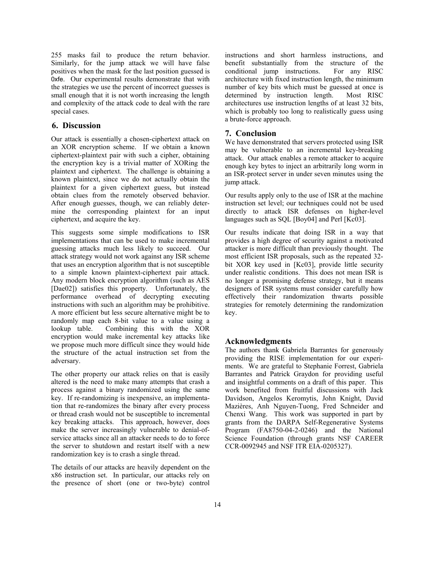255 masks fail to produce the return behavior. Similarly, for the jump attack we will have false positives when the mask for the last position guessed is 0xfe. Our experimental results demonstrate that with the strategies we use the percent of incorrect guesses is small enough that it is not worth increasing the length and complexity of the attack code to deal with the rare special cases.

# **6. Discussion**

Our attack is essentially a chosen-ciphertext attack on an XOR encryption scheme. If we obtain a known ciphertext-plaintext pair with such a cipher, obtaining the encryption key is a trivial matter of XORing the plaintext and ciphertext. The challenge is obtaining a known plaintext, since we do not actually obtain the plaintext for a given ciphertext guess, but instead obtain clues from the remotely observed behavior. After enough guesses, though, we can reliably determine the corresponding plaintext for an input ciphertext, and acquire the key.

This suggests some simple modifications to ISR implementations that can be used to make incremental guessing attacks much less likely to succeed. Our attack strategy would not work against any ISR scheme that uses an encryption algorithm that is not susceptible to a simple known plaintext-ciphertext pair attack. Any modern block encryption algorithm (such as AES [Dae02]) satisfies this property. Unfortunately, the performance overhead of decrypting executing instructions with such an algorithm may be prohibitive. A more efficient but less secure alternative might be to randomly map each 8-bit value to a value using a lookup table. Combining this with the XOR encryption would make incremental key attacks like we propose much more difficult since they would hide the structure of the actual instruction set from the adversary.

The other property our attack relies on that is easily altered is the need to make many attempts that crash a process against a binary randomized using the same key. If re-randomizing is inexpensive, an implementation that re-randomizes the binary after every process or thread crash would not be susceptible to incremental key breaking attacks. This approach, however, does make the server increasingly vulnerable to denial-ofservice attacks since all an attacker needs to do to force the server to shutdown and restart itself with a new randomization key is to crash a single thread.

The details of our attacks are heavily dependent on the x86 instruction set. In particular, our attacks rely on the presence of short (one or two-byte) control instructions and short harmless instructions, and benefit substantially from the structure of the conditional jump instructions. For any RISC architecture with fixed instruction length, the minimum number of key bits which must be guessed at once is determined by instruction length. Most RISC architectures use instruction lengths of at least 32 bits, which is probably too long to realistically guess using a brute-force approach.

## **7. Conclusion**

We have demonstrated that servers protected using ISR may be vulnerable to an incremental key-breaking attack. Our attack enables a remote attacker to acquire enough key bytes to inject an arbitrarily long worm in an ISR-protect server in under seven minutes using the jump attack.

Our results apply only to the use of ISR at the machine instruction set level; our techniques could not be used directly to attack ISR defenses on higher-level languages such as SQL [Boy04] and Perl [Kc03].

Our results indicate that doing ISR in a way that provides a high degree of security against a motivated attacker is more difficult than previously thought. The most efficient ISR proposals, such as the repeated 32 bit XOR key used in [Kc03], provide little security under realistic conditions. This does not mean ISR is no longer a promising defense strategy, but it means designers of ISR systems must consider carefully how effectively their randomization thwarts possible strategies for remotely determining the randomization key.

## **Acknowledgments**

The authors thank Gabriela Barrantes for generously providing the RISE implementation for our experiments. We are grateful to Stephanie Forrest, Gabriela Barrantes and Patrick Graydon for providing useful and insightful comments on a draft of this paper. This work benefited from fruitful discussions with Jack Davidson, Angelos Keromytis, John Knight, David Mazières, Anh Nguyen-Tuong, Fred Schneider and Chenxi Wang. This work was supported in part by grants from the DARPA Self-Regenerative Systems Program (FA8750-04-2-0246) and the National Science Foundation (through grants NSF CAREER CCR-0092945 and NSF ITR EIA-0205327).